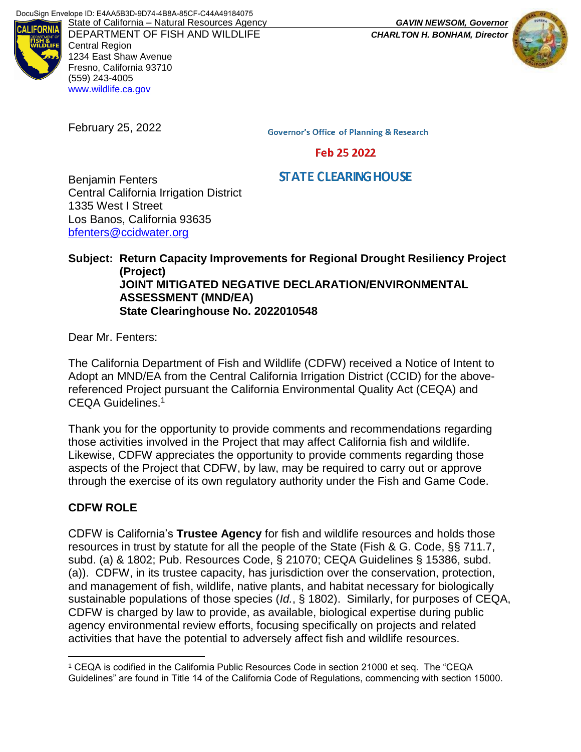

DEPARTMENT OF FISH AND WILDLIFE *CHARLTON H. BONHAM, Director* Central Region 1234 East Shaw Avenue Fresno, California 93710 (559) 243-4005 [www.wildlife.ca.gov](http://www.wildlife.ca.gov/)

February 25, 2022

**Governor's Office of Planning & Research** 

Feb 25 2022

# **STATE CLEARING HOUSE**

Benjamin Fenters Central California Irrigation District 1335 West I Street Los Banos, California 93635 [bfenters@ccidwater.org](mailto:bfenters@ccidwater.org)

### **Subject: Return Capacity Improvements for Regional Drought Resiliency Project (Project) JOINT MITIGATED NEGATIVE DECLARATION/ENVIRONMENTAL ASSESSMENT (MND/EA) State Clearinghouse No. 2022010548**

Dear Mr. Fenters:

The California Department of Fish and Wildlife (CDFW) received a Notice of Intent to Adopt an MND/EA from the Central California Irrigation District (CCID) for the abovereferenced Project pursuant the California Environmental Quality Act (CEQA) and CEQA Guidelines.<sup>1</sup>

Thank you for the opportunity to provide comments and recommendations regarding those activities involved in the Project that may affect California fish and wildlife. Likewise, CDFW appreciates the opportunity to provide comments regarding those aspects of the Project that CDFW, by law, may be required to carry out or approve through the exercise of its own regulatory authority under the Fish and Game Code.

## **CDFW ROLE**

 $\overline{a}$ 

CDFW is California's **Trustee Agency** for fish and wildlife resources and holds those resources in trust by statute for all the people of the State (Fish & G. Code, §§ 711.7, subd. (a) & 1802; Pub. Resources Code, § 21070; CEQA Guidelines § 15386, subd. (a)). CDFW, in its trustee capacity, has jurisdiction over the conservation, protection, and management of fish, wildlife, native plants, and habitat necessary for biologically sustainable populations of those species (*Id.*, § 1802). Similarly, for purposes of CEQA, CDFW is charged by law to provide, as available, biological expertise during public agency environmental review efforts, focusing specifically on projects and related activities that have the potential to adversely affect fish and wildlife resources.



<sup>1</sup> CEQA is codified in the California Public Resources Code in section 21000 et seq. The "CEQA Guidelines" are found in Title 14 of the California Code of Regulations, commencing with section 15000.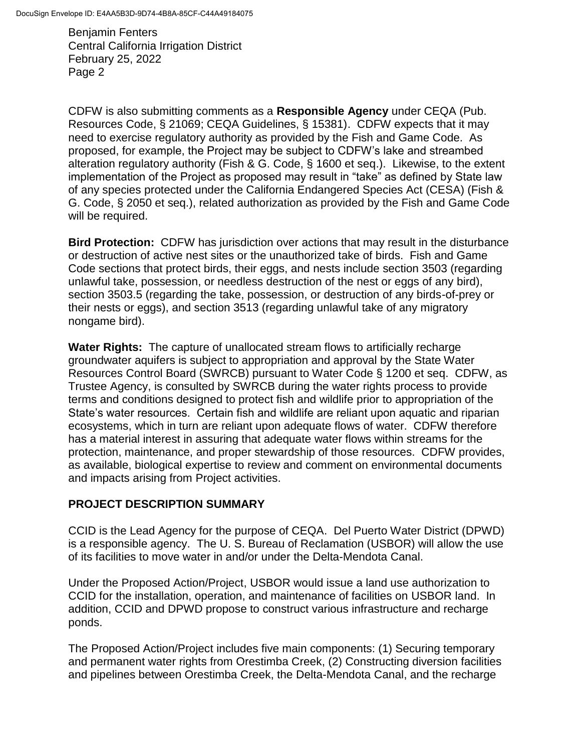CDFW is also submitting comments as a **Responsible Agency** under CEQA (Pub. Resources Code, § 21069; CEQA Guidelines, § 15381). CDFW expects that it may need to exercise regulatory authority as provided by the Fish and Game Code. As proposed, for example, the Project may be subject to CDFW's lake and streambed alteration regulatory authority (Fish & G. Code, § 1600 et seq.). Likewise, to the extent implementation of the Project as proposed may result in "take" as defined by State law of any species protected under the California Endangered Species Act (CESA) (Fish & G. Code, § 2050 et seq.), related authorization as provided by the Fish and Game Code will be required.

**Bird Protection:** CDFW has jurisdiction over actions that may result in the disturbance or destruction of active nest sites or the unauthorized take of birds. Fish and Game Code sections that protect birds, their eggs, and nests include section 3503 (regarding unlawful take, possession, or needless destruction of the nest or eggs of any bird), section 3503.5 (regarding the take, possession, or destruction of any birds-of-prey or their nests or eggs), and section 3513 (regarding unlawful take of any migratory nongame bird).

**Water Rights:** The capture of unallocated stream flows to artificially recharge groundwater aquifers is subject to appropriation and approval by the State Water Resources Control Board (SWRCB) pursuant to Water Code § 1200 et seq. CDFW, as Trustee Agency, is consulted by SWRCB during the water rights process to provide terms and conditions designed to protect fish and wildlife prior to appropriation of the State's water resources. Certain fish and wildlife are reliant upon aquatic and riparian ecosystems, which in turn are reliant upon adequate flows of water. CDFW therefore has a material interest in assuring that adequate water flows within streams for the protection, maintenance, and proper stewardship of those resources. CDFW provides, as available, biological expertise to review and comment on environmental documents and impacts arising from Project activities.

## **PROJECT DESCRIPTION SUMMARY**

CCID is the Lead Agency for the purpose of CEQA. Del Puerto Water District (DPWD) is a responsible agency. The U. S. Bureau of Reclamation (USBOR) will allow the use of its facilities to move water in and/or under the Delta-Mendota Canal.

Under the Proposed Action/Project, USBOR would issue a land use authorization to CCID for the installation, operation, and maintenance of facilities on USBOR land. In addition, CCID and DPWD propose to construct various infrastructure and recharge ponds.

The Proposed Action/Project includes five main components: (1) Securing temporary and permanent water rights from Orestimba Creek, (2) Constructing diversion facilities and pipelines between Orestimba Creek, the Delta-Mendota Canal, and the recharge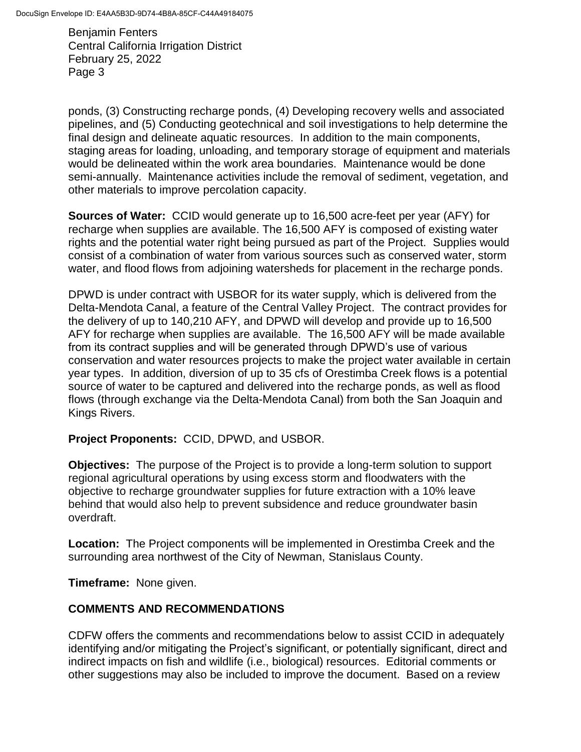ponds, (3) Constructing recharge ponds, (4) Developing recovery wells and associated pipelines, and (5) Conducting geotechnical and soil investigations to help determine the final design and delineate aquatic resources. In addition to the main components, staging areas for loading, unloading, and temporary storage of equipment and materials would be delineated within the work area boundaries. Maintenance would be done semi-annually. Maintenance activities include the removal of sediment, vegetation, and other materials to improve percolation capacity.

**Sources of Water:** CCID would generate up to 16,500 acre-feet per year (AFY) for recharge when supplies are available. The 16,500 AFY is composed of existing water rights and the potential water right being pursued as part of the Project. Supplies would consist of a combination of water from various sources such as conserved water, storm water, and flood flows from adjoining watersheds for placement in the recharge ponds.

DPWD is under contract with USBOR for its water supply, which is delivered from the Delta-Mendota Canal, a feature of the Central Valley Project. The contract provides for the delivery of up to 140,210 AFY, and DPWD will develop and provide up to 16,500 AFY for recharge when supplies are available. The 16,500 AFY will be made available from its contract supplies and will be generated through DPWD's use of various conservation and water resources projects to make the project water available in certain year types. In addition, diversion of up to 35 cfs of Orestimba Creek flows is a potential source of water to be captured and delivered into the recharge ponds, as well as flood flows (through exchange via the Delta-Mendota Canal) from both the San Joaquin and Kings Rivers.

**Project Proponents:** CCID, DPWD, and USBOR.

**Objectives:** The purpose of the Project is to provide a long-term solution to support regional agricultural operations by using excess storm and floodwaters with the objective to recharge groundwater supplies for future extraction with a 10% leave behind that would also help to prevent subsidence and reduce groundwater basin overdraft.

**Location:** The Project components will be implemented in Orestimba Creek and the surrounding area northwest of the City of Newman, Stanislaus County.

**Timeframe:** None given.

## **COMMENTS AND RECOMMENDATIONS**

CDFW offers the comments and recommendations below to assist CCID in adequately identifying and/or mitigating the Project's significant, or potentially significant, direct and indirect impacts on fish and wildlife (i.e., biological) resources. Editorial comments or other suggestions may also be included to improve the document. Based on a review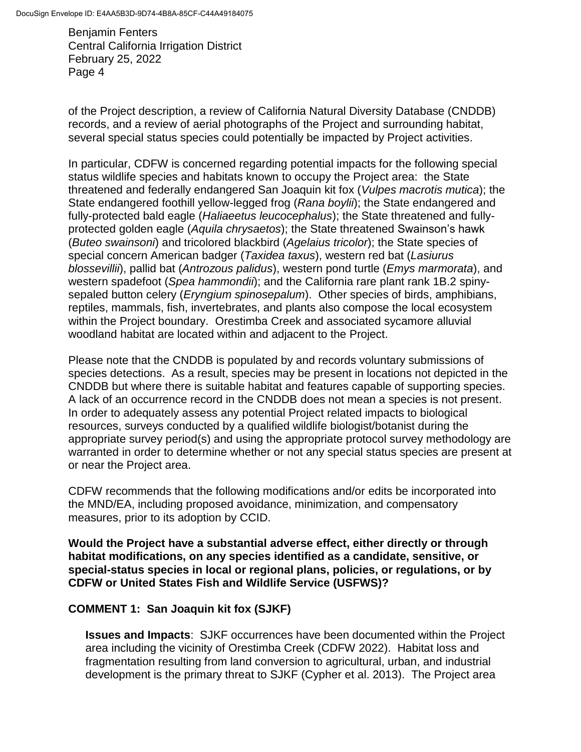of the Project description, a review of California Natural Diversity Database (CNDDB) records, and a review of aerial photographs of the Project and surrounding habitat, several special status species could potentially be impacted by Project activities.

In particular, CDFW is concerned regarding potential impacts for the following special status wildlife species and habitats known to occupy the Project area: the State threatened and federally endangered San Joaquin kit fox (*Vulpes macrotis mutica*); the State endangered foothill yellow-legged frog (*Rana boylii*); the State endangered and fully-protected bald eagle (*Haliaeetus leucocephalus*); the State threatened and fullyprotected golden eagle (*Aquila chrysaetos*); the State threatened Swainson's hawk (*Buteo swainsoni*) and tricolored blackbird (*Agelaius tricolor*); the State species of special concern American badger (*Taxidea taxus*), western red bat (*Lasiurus blossevillii*), pallid bat (*Antrozous palidus*), western pond turtle (*Emys marmorata*), and western spadefoot (*Spea hammondii*); and the California rare plant rank 1B.2 spinysepaled button celery (*Eryngium spinosepalum*). Other species of birds, amphibians, reptiles, mammals, fish, invertebrates, and plants also compose the local ecosystem within the Project boundary. Orestimba Creek and associated sycamore alluvial woodland habitat are located within and adjacent to the Project.

Please note that the CNDDB is populated by and records voluntary submissions of species detections. As a result, species may be present in locations not depicted in the CNDDB but where there is suitable habitat and features capable of supporting species. A lack of an occurrence record in the CNDDB does not mean a species is not present. In order to adequately assess any potential Project related impacts to biological resources, surveys conducted by a qualified wildlife biologist/botanist during the appropriate survey period(s) and using the appropriate protocol survey methodology are warranted in order to determine whether or not any special status species are present at or near the Project area.

CDFW recommends that the following modifications and/or edits be incorporated into the MND/EA, including proposed avoidance, minimization, and compensatory measures, prior to its adoption by CCID.

**Would the Project have a substantial adverse effect, either directly or through habitat modifications, on any species identified as a candidate, sensitive, or special-status species in local or regional plans, policies, or regulations, or by CDFW or United States Fish and Wildlife Service (USFWS)?**

## **COMMENT 1: San Joaquin kit fox (SJKF)**

**Issues and Impacts**: SJKF occurrences have been documented within the Project area including the vicinity of Orestimba Creek (CDFW 2022). Habitat loss and fragmentation resulting from land conversion to agricultural, urban, and industrial development is the primary threat to SJKF (Cypher et al. 2013). The Project area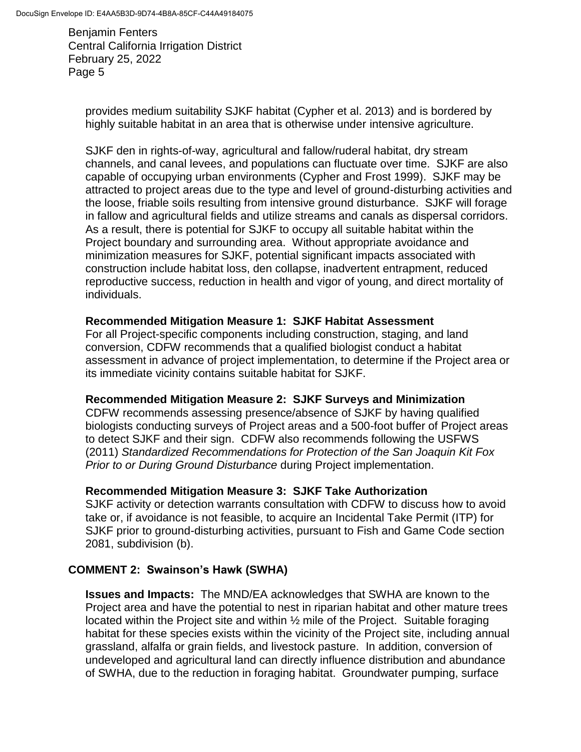provides medium suitability SJKF habitat (Cypher et al. 2013) and is bordered by highly suitable habitat in an area that is otherwise under intensive agriculture.

SJKF den in rights-of-way, agricultural and fallow/ruderal habitat, dry stream channels, and canal levees, and populations can fluctuate over time. SJKF are also capable of occupying urban environments (Cypher and Frost 1999). SJKF may be attracted to project areas due to the type and level of ground-disturbing activities and the loose, friable soils resulting from intensive ground disturbance. SJKF will forage in fallow and agricultural fields and utilize streams and canals as dispersal corridors. As a result, there is potential for SJKF to occupy all suitable habitat within the Project boundary and surrounding area. Without appropriate avoidance and minimization measures for SJKF, potential significant impacts associated with construction include habitat loss, den collapse, inadvertent entrapment, reduced reproductive success, reduction in health and vigor of young, and direct mortality of individuals.

### **Recommended Mitigation Measure 1: SJKF Habitat Assessment**

For all Project-specific components including construction, staging, and land conversion, CDFW recommends that a qualified biologist conduct a habitat assessment in advance of project implementation, to determine if the Project area or its immediate vicinity contains suitable habitat for SJKF.

### **Recommended Mitigation Measure 2: SJKF Surveys and Minimization**

CDFW recommends assessing presence/absence of SJKF by having qualified biologists conducting surveys of Project areas and a 500-foot buffer of Project areas to detect SJKF and their sign. CDFW also recommends following the USFWS (2011) *Standardized Recommendations for Protection of the San Joaquin Kit Fox Prior to or During Ground Disturbance* during Project implementation.

### **Recommended Mitigation Measure 3: SJKF Take Authorization**

SJKF activity or detection warrants consultation with CDFW to discuss how to avoid take or, if avoidance is not feasible, to acquire an Incidental Take Permit (ITP) for SJKF prior to ground-disturbing activities, pursuant to Fish and Game Code section 2081, subdivision (b).

### **COMMENT 2: Swainson's Hawk (SWHA)**

**Issues and Impacts:** The MND/EA acknowledges that SWHA are known to the Project area and have the potential to nest in riparian habitat and other mature trees located within the Project site and within ½ mile of the Project. Suitable foraging habitat for these species exists within the vicinity of the Project site, including annual grassland, alfalfa or grain fields, and livestock pasture. In addition, conversion of undeveloped and agricultural land can directly influence distribution and abundance of SWHA, due to the reduction in foraging habitat. Groundwater pumping, surface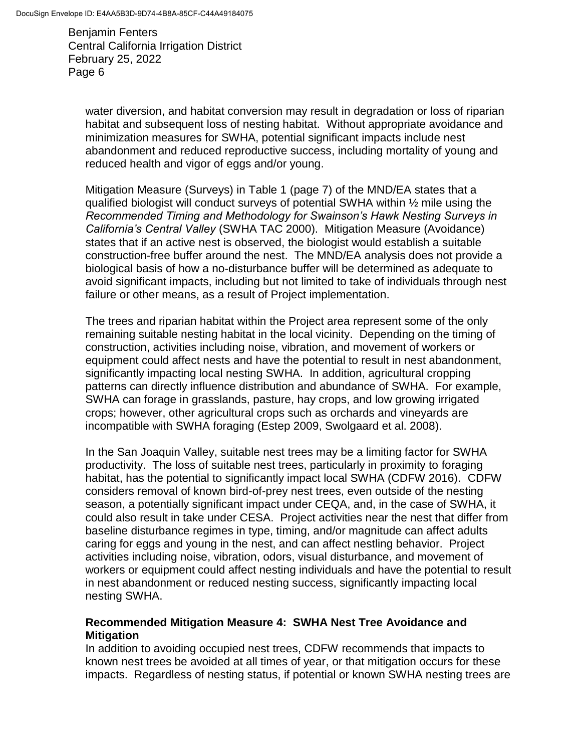water diversion, and habitat conversion may result in degradation or loss of riparian habitat and subsequent loss of nesting habitat. Without appropriate avoidance and minimization measures for SWHA, potential significant impacts include nest abandonment and reduced reproductive success, including mortality of young and reduced health and vigor of eggs and/or young.

Mitigation Measure (Surveys) in Table 1 (page 7) of the MND/EA states that a qualified biologist will conduct surveys of potential SWHA within ½ mile using the *Recommended Timing and Methodology for Swainson's Hawk Nesting Surveys in California's Central Valley* (SWHA TAC 2000). Mitigation Measure (Avoidance) states that if an active nest is observed, the biologist would establish a suitable construction-free buffer around the nest. The MND/EA analysis does not provide a biological basis of how a no-disturbance buffer will be determined as adequate to avoid significant impacts, including but not limited to take of individuals through nest failure or other means, as a result of Project implementation.

The trees and riparian habitat within the Project area represent some of the only remaining suitable nesting habitat in the local vicinity. Depending on the timing of construction, activities including noise, vibration, and movement of workers or equipment could affect nests and have the potential to result in nest abandonment, significantly impacting local nesting SWHA. In addition, agricultural cropping patterns can directly influence distribution and abundance of SWHA. For example, SWHA can forage in grasslands, pasture, hay crops, and low growing irrigated crops; however, other agricultural crops such as orchards and vineyards are incompatible with SWHA foraging (Estep 2009, Swolgaard et al. 2008).

In the San Joaquin Valley, suitable nest trees may be a limiting factor for SWHA productivity. The loss of suitable nest trees, particularly in proximity to foraging habitat, has the potential to significantly impact local SWHA (CDFW 2016). CDFW considers removal of known bird-of-prey nest trees, even outside of the nesting season, a potentially significant impact under CEQA, and, in the case of SWHA, it could also result in take under CESA. Project activities near the nest that differ from baseline disturbance regimes in type, timing, and/or magnitude can affect adults caring for eggs and young in the nest, and can affect nestling behavior. Project activities including noise, vibration, odors, visual disturbance, and movement of workers or equipment could affect nesting individuals and have the potential to result in nest abandonment or reduced nesting success, significantly impacting local nesting SWHA.

### **Recommended Mitigation Measure 4: SWHA Nest Tree Avoidance and Mitigation**

In addition to avoiding occupied nest trees, CDFW recommends that impacts to known nest trees be avoided at all times of year, or that mitigation occurs for these impacts. Regardless of nesting status, if potential or known SWHA nesting trees are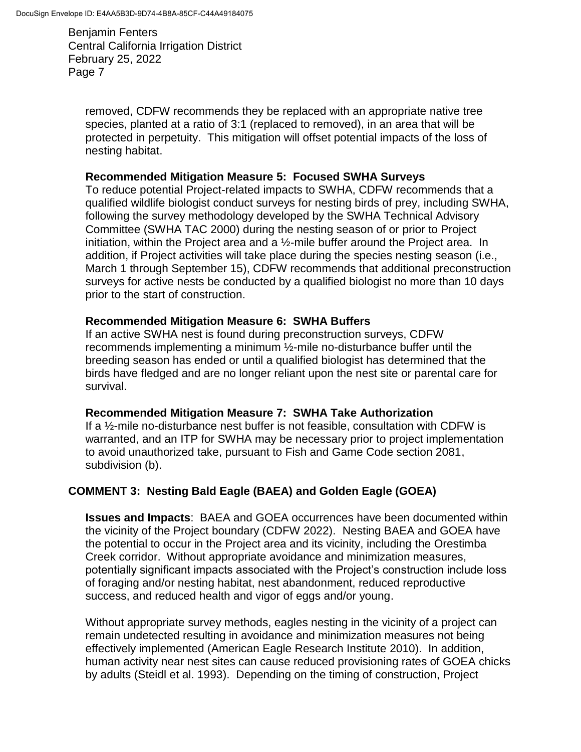removed, CDFW recommends they be replaced with an appropriate native tree species, planted at a ratio of 3:1 (replaced to removed), in an area that will be protected in perpetuity. This mitigation will offset potential impacts of the loss of nesting habitat.

#### **Recommended Mitigation Measure 5: Focused SWHA Surveys**

To reduce potential Project-related impacts to SWHA, CDFW recommends that a qualified wildlife biologist conduct surveys for nesting birds of prey, including SWHA, following the survey methodology developed by the SWHA Technical Advisory Committee (SWHA TAC 2000) during the nesting season of or prior to Project initiation, within the Project area and a ½-mile buffer around the Project area. In addition, if Project activities will take place during the species nesting season (i.e., March 1 through September 15), CDFW recommends that additional preconstruction surveys for active nests be conducted by a qualified biologist no more than 10 days prior to the start of construction.

### **Recommended Mitigation Measure 6: SWHA Buffers**

If an active SWHA nest is found during preconstruction surveys, CDFW recommends implementing a minimum ½-mile no-disturbance buffer until the breeding season has ended or until a qualified biologist has determined that the birds have fledged and are no longer reliant upon the nest site or parental care for survival.

### **Recommended Mitigation Measure 7: SWHA Take Authorization**

If a ½-mile no-disturbance nest buffer is not feasible, consultation with CDFW is warranted, and an ITP for SWHA may be necessary prior to project implementation to avoid unauthorized take, pursuant to Fish and Game Code section 2081, subdivision (b).

## **COMMENT 3: Nesting Bald Eagle (BAEA) and Golden Eagle (GOEA)**

**Issues and Impacts**: BAEA and GOEA occurrences have been documented within the vicinity of the Project boundary (CDFW 2022). Nesting BAEA and GOEA have the potential to occur in the Project area and its vicinity, including the Orestimba Creek corridor. Without appropriate avoidance and minimization measures, potentially significant impacts associated with the Project's construction include loss of foraging and/or nesting habitat, nest abandonment, reduced reproductive success, and reduced health and vigor of eggs and/or young.

Without appropriate survey methods, eagles nesting in the vicinity of a project can remain undetected resulting in avoidance and minimization measures not being effectively implemented (American Eagle Research Institute 2010). In addition, human activity near nest sites can cause reduced provisioning rates of GOEA chicks by adults (Steidl et al. 1993). Depending on the timing of construction, Project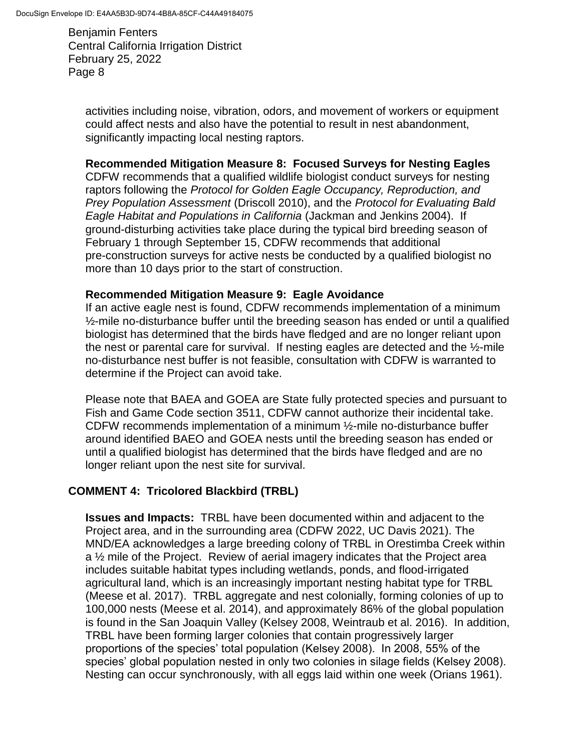activities including noise, vibration, odors, and movement of workers or equipment could affect nests and also have the potential to result in nest abandonment, significantly impacting local nesting raptors.

### **Recommended Mitigation Measure 8: Focused Surveys for Nesting Eagles**

CDFW recommends that a qualified wildlife biologist conduct surveys for nesting raptors following the *Protocol for Golden Eagle Occupancy, Reproduction, and Prey Population Assessment* (Driscoll 2010), and the *Protocol for Evaluating Bald Eagle Habitat and Populations in California* (Jackman and Jenkins 2004). If ground-disturbing activities take place during the typical bird breeding season of February 1 through September 15, CDFW recommends that additional pre-construction surveys for active nests be conducted by a qualified biologist no more than 10 days prior to the start of construction.

### **Recommended Mitigation Measure 9: Eagle Avoidance**

If an active eagle nest is found, CDFW recommends implementation of a minimum  $\frac{1}{2}$ -mile no-disturbance buffer until the breeding season has ended or until a qualified biologist has determined that the birds have fledged and are no longer reliant upon the nest or parental care for survival. If nesting eagles are detected and the ½-mile no-disturbance nest buffer is not feasible, consultation with CDFW is warranted to determine if the Project can avoid take.

Please note that BAEA and GOEA are State fully protected species and pursuant to Fish and Game Code section 3511, CDFW cannot authorize their incidental take. CDFW recommends implementation of a minimum ½-mile no-disturbance buffer around identified BAEO and GOEA nests until the breeding season has ended or until a qualified biologist has determined that the birds have fledged and are no longer reliant upon the nest site for survival.

## **COMMENT 4: Tricolored Blackbird (TRBL)**

**Issues and Impacts:** TRBL have been documented within and adjacent to the Project area, and in the surrounding area (CDFW 2022, UC Davis 2021). The MND/EA acknowledges a large breeding colony of TRBL in Orestimba Creek within a ½ mile of the Project. Review of aerial imagery indicates that the Project area includes suitable habitat types including wetlands, ponds, and flood-irrigated agricultural land, which is an increasingly important nesting habitat type for TRBL (Meese et al. 2017). TRBL aggregate and nest colonially, forming colonies of up to 100,000 nests (Meese et al. 2014), and approximately 86% of the global population is found in the San Joaquin Valley (Kelsey 2008, Weintraub et al. 2016). In addition, TRBL have been forming larger colonies that contain progressively larger proportions of the species' total population (Kelsey 2008). In 2008, 55% of the species' global population nested in only two colonies in silage fields (Kelsey 2008). Nesting can occur synchronously, with all eggs laid within one week (Orians 1961).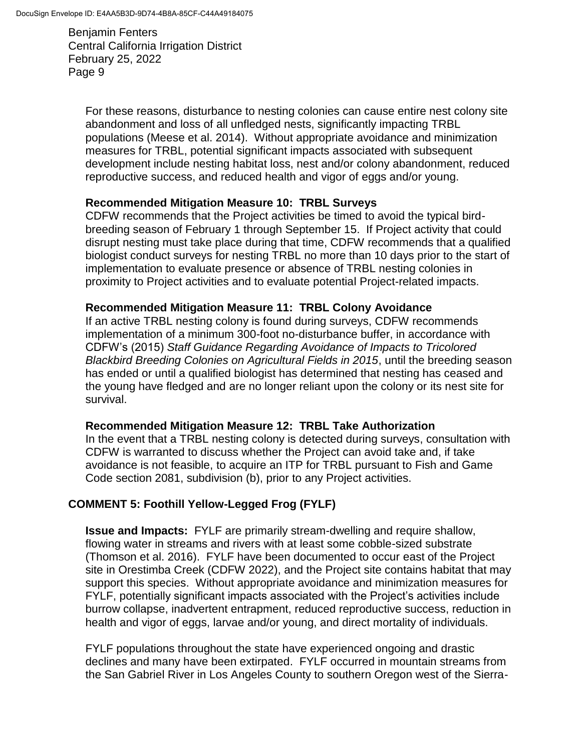For these reasons, disturbance to nesting colonies can cause entire nest colony site abandonment and loss of all unfledged nests, significantly impacting TRBL populations (Meese et al. 2014). Without appropriate avoidance and minimization measures for TRBL, potential significant impacts associated with subsequent development include nesting habitat loss, nest and/or colony abandonment, reduced reproductive success, and reduced health and vigor of eggs and/or young.

#### **Recommended Mitigation Measure 10: TRBL Surveys**

CDFW recommends that the Project activities be timed to avoid the typical birdbreeding season of February 1 through September 15. If Project activity that could disrupt nesting must take place during that time, CDFW recommends that a qualified biologist conduct surveys for nesting TRBL no more than 10 days prior to the start of implementation to evaluate presence or absence of TRBL nesting colonies in proximity to Project activities and to evaluate potential Project-related impacts.

#### **Recommended Mitigation Measure 11: TRBL Colony Avoidance**

If an active TRBL nesting colony is found during surveys, CDFW recommends implementation of a minimum 300-foot no-disturbance buffer, in accordance with CDFW's (2015) *Staff Guidance Regarding Avoidance of Impacts to Tricolored Blackbird Breeding Colonies on Agricultural Fields in 2015*, until the breeding season has ended or until a qualified biologist has determined that nesting has ceased and the young have fledged and are no longer reliant upon the colony or its nest site for survival.

### **Recommended Mitigation Measure 12: TRBL Take Authorization**

In the event that a TRBL nesting colony is detected during surveys, consultation with CDFW is warranted to discuss whether the Project can avoid take and, if take avoidance is not feasible, to acquire an ITP for TRBL pursuant to Fish and Game Code section 2081, subdivision (b), prior to any Project activities.

### **COMMENT 5: Foothill Yellow-Legged Frog (FYLF)**

**Issue and Impacts:** FYLF are primarily stream-dwelling and require shallow, flowing water in streams and rivers with at least some cobble-sized substrate (Thomson et al. 2016). FYLF have been documented to occur east of the Project site in Orestimba Creek (CDFW 2022), and the Project site contains habitat that may support this species. Without appropriate avoidance and minimization measures for FYLF, potentially significant impacts associated with the Project's activities include burrow collapse, inadvertent entrapment, reduced reproductive success, reduction in health and vigor of eggs, larvae and/or young, and direct mortality of individuals.

FYLF populations throughout the state have experienced ongoing and drastic declines and many have been extirpated. FYLF occurred in mountain streams from the San Gabriel River in Los Angeles County to southern Oregon west of the Sierra-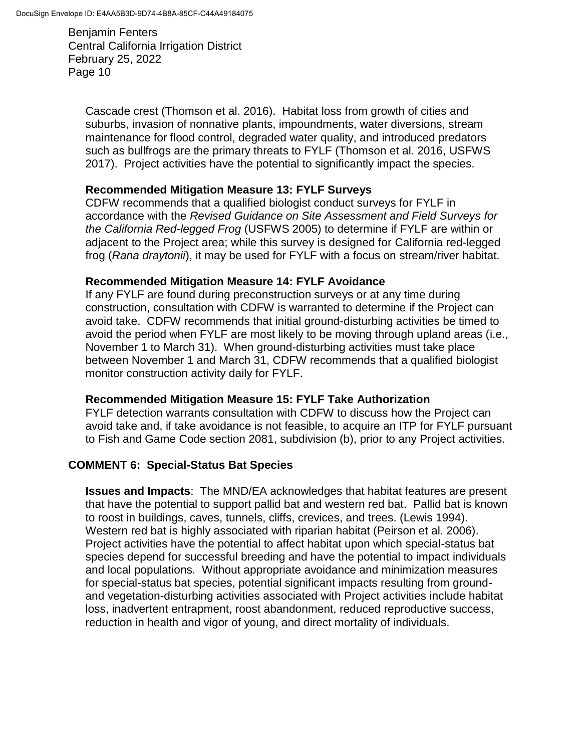Cascade crest (Thomson et al. 2016). Habitat loss from growth of cities and suburbs, invasion of nonnative plants, impoundments, water diversions, stream maintenance for flood control, degraded water quality, and introduced predators such as bullfrogs are the primary threats to FYLF (Thomson et al. 2016, USFWS 2017). Project activities have the potential to significantly impact the species.

### **Recommended Mitigation Measure 13: FYLF Surveys**

CDFW recommends that a qualified biologist conduct surveys for FYLF in accordance with the *Revised Guidance on Site Assessment and Field Surveys for the California Red-legged Frog* (USFWS 2005) to determine if FYLF are within or adjacent to the Project area; while this survey is designed for California red-legged frog (*Rana draytonii*), it may be used for FYLF with a focus on stream/river habitat.

### **Recommended Mitigation Measure 14: FYLF Avoidance**

If any FYLF are found during preconstruction surveys or at any time during construction, consultation with CDFW is warranted to determine if the Project can avoid take. CDFW recommends that initial ground-disturbing activities be timed to avoid the period when FYLF are most likely to be moving through upland areas (i.e., November 1 to March 31). When ground-disturbing activities must take place between November 1 and March 31, CDFW recommends that a qualified biologist monitor construction activity daily for FYLF.

### **Recommended Mitigation Measure 15: FYLF Take Authorization**

FYLF detection warrants consultation with CDFW to discuss how the Project can avoid take and, if take avoidance is not feasible, to acquire an ITP for FYLF pursuant to Fish and Game Code section 2081, subdivision (b), prior to any Project activities.

### **COMMENT 6: Special-Status Bat Species**

**Issues and Impacts**: The MND/EA acknowledges that habitat features are present that have the potential to support pallid bat and western red bat. Pallid bat is known to roost in buildings, caves, tunnels, cliffs, crevices, and trees. (Lewis 1994). Western red bat is highly associated with riparian habitat (Peirson et al. 2006). Project activities have the potential to affect habitat upon which special-status bat species depend for successful breeding and have the potential to impact individuals and local populations. Without appropriate avoidance and minimization measures for special-status bat species, potential significant impacts resulting from groundand vegetation-disturbing activities associated with Project activities include habitat loss, inadvertent entrapment, roost abandonment, reduced reproductive success, reduction in health and vigor of young, and direct mortality of individuals.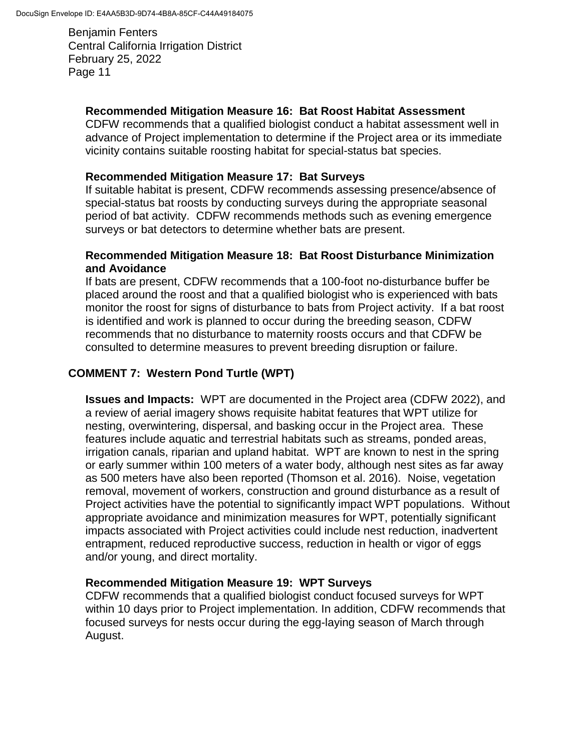### **Recommended Mitigation Measure 16: Bat Roost Habitat Assessment**

CDFW recommends that a qualified biologist conduct a habitat assessment well in advance of Project implementation to determine if the Project area or its immediate vicinity contains suitable roosting habitat for special-status bat species.

#### **Recommended Mitigation Measure 17: Bat Surveys**

If suitable habitat is present, CDFW recommends assessing presence/absence of special-status bat roosts by conducting surveys during the appropriate seasonal period of bat activity. CDFW recommends methods such as evening emergence surveys or bat detectors to determine whether bats are present.

### **Recommended Mitigation Measure 18: Bat Roost Disturbance Minimization and Avoidance**

If bats are present, CDFW recommends that a 100-foot no-disturbance buffer be placed around the roost and that a qualified biologist who is experienced with bats monitor the roost for signs of disturbance to bats from Project activity. If a bat roost is identified and work is planned to occur during the breeding season, CDFW recommends that no disturbance to maternity roosts occurs and that CDFW be consulted to determine measures to prevent breeding disruption or failure.

### **COMMENT 7: Western Pond Turtle (WPT)**

**Issues and Impacts:** WPT are documented in the Project area (CDFW 2022), and a review of aerial imagery shows requisite habitat features that WPT utilize for nesting, overwintering, dispersal, and basking occur in the Project area. These features include aquatic and terrestrial habitats such as streams, ponded areas, irrigation canals, riparian and upland habitat. WPT are known to nest in the spring or early summer within 100 meters of a water body, although nest sites as far away as 500 meters have also been reported (Thomson et al. 2016). Noise, vegetation removal, movement of workers, construction and ground disturbance as a result of Project activities have the potential to significantly impact WPT populations. Without appropriate avoidance and minimization measures for WPT, potentially significant impacts associated with Project activities could include nest reduction, inadvertent entrapment, reduced reproductive success, reduction in health or vigor of eggs and/or young, and direct mortality.

### **Recommended Mitigation Measure 19: WPT Surveys**

CDFW recommends that a qualified biologist conduct focused surveys for WPT within 10 days prior to Project implementation. In addition, CDFW recommends that focused surveys for nests occur during the egg-laying season of March through August.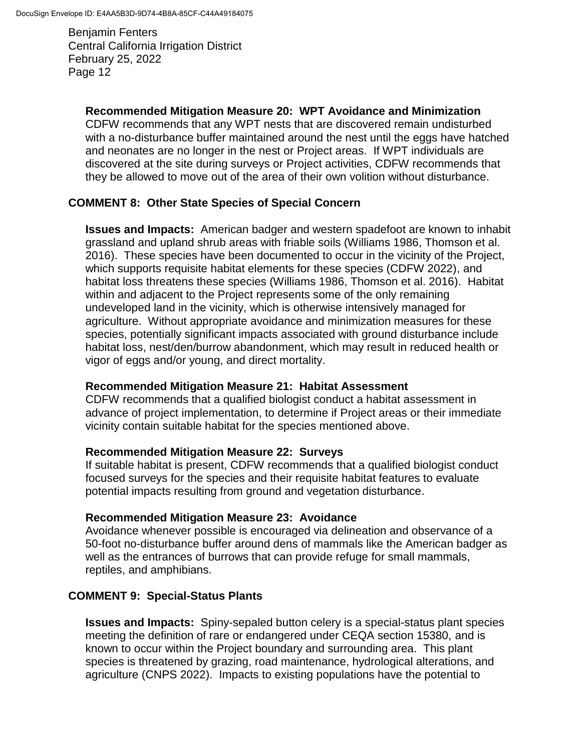### **Recommended Mitigation Measure 20: WPT Avoidance and Minimization**

CDFW recommends that any WPT nests that are discovered remain undisturbed with a no-disturbance buffer maintained around the nest until the eggs have hatched and neonates are no longer in the nest or Project areas. If WPT individuals are discovered at the site during surveys or Project activities, CDFW recommends that they be allowed to move out of the area of their own volition without disturbance.

## **COMMENT 8: Other State Species of Special Concern**

**Issues and Impacts:** American badger and western spadefoot are known to inhabit grassland and upland shrub areas with friable soils (Williams 1986, Thomson et al. 2016). These species have been documented to occur in the vicinity of the Project, which supports requisite habitat elements for these species (CDFW 2022), and habitat loss threatens these species (Williams 1986, Thomson et al. 2016). Habitat within and adjacent to the Project represents some of the only remaining undeveloped land in the vicinity, which is otherwise intensively managed for agriculture. Without appropriate avoidance and minimization measures for these species, potentially significant impacts associated with ground disturbance include habitat loss, nest/den/burrow abandonment, which may result in reduced health or vigor of eggs and/or young, and direct mortality.

### **Recommended Mitigation Measure 21: Habitat Assessment**

CDFW recommends that a qualified biologist conduct a habitat assessment in advance of project implementation, to determine if Project areas or their immediate vicinity contain suitable habitat for the species mentioned above.

### **Recommended Mitigation Measure 22: Surveys**

If suitable habitat is present, CDFW recommends that a qualified biologist conduct focused surveys for the species and their requisite habitat features to evaluate potential impacts resulting from ground and vegetation disturbance.

## **Recommended Mitigation Measure 23: Avoidance**

Avoidance whenever possible is encouraged via delineation and observance of a 50-foot no-disturbance buffer around dens of mammals like the American badger as well as the entrances of burrows that can provide refuge for small mammals, reptiles, and amphibians.

## **COMMENT 9: Special-Status Plants**

**Issues and Impacts:** Spiny-sepaled button celery is a special-status plant species meeting the definition of rare or endangered under CEQA section 15380, and is known to occur within the Project boundary and surrounding area. This plant species is threatened by grazing, road maintenance, hydrological alterations, and agriculture (CNPS 2022). Impacts to existing populations have the potential to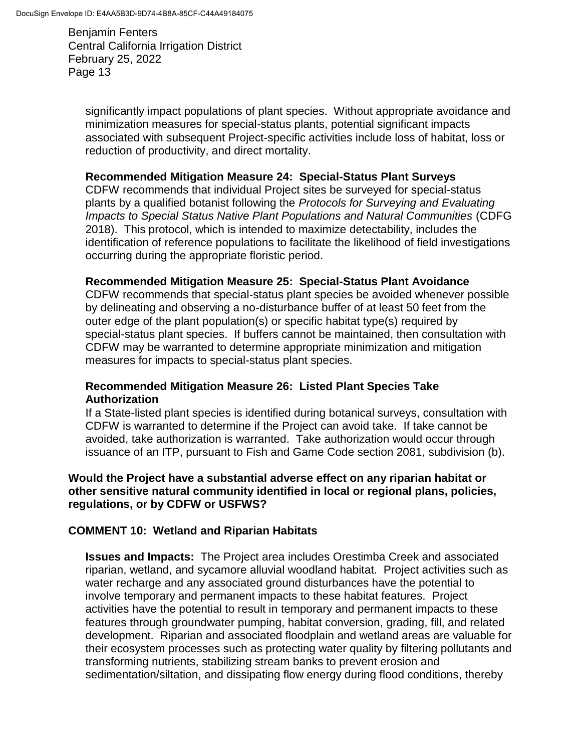significantly impact populations of plant species. Without appropriate avoidance and minimization measures for special-status plants, potential significant impacts associated with subsequent Project-specific activities include loss of habitat, loss or reduction of productivity, and direct mortality.

### **Recommended Mitigation Measure 24: Special-Status Plant Surveys**

CDFW recommends that individual Project sites be surveyed for special-status plants by a qualified botanist following the *Protocols for Surveying and Evaluating Impacts to Special Status Native Plant Populations and Natural Communities* (CDFG 2018). This protocol, which is intended to maximize detectability, includes the identification of reference populations to facilitate the likelihood of field investigations occurring during the appropriate floristic period.

#### **Recommended Mitigation Measure 25: Special-Status Plant Avoidance**

CDFW recommends that special-status plant species be avoided whenever possible by delineating and observing a no-disturbance buffer of at least 50 feet from the outer edge of the plant population(s) or specific habitat type(s) required by special-status plant species. If buffers cannot be maintained, then consultation with CDFW may be warranted to determine appropriate minimization and mitigation measures for impacts to special-status plant species.

### **Recommended Mitigation Measure 26: Listed Plant Species Take Authorization**

If a State-listed plant species is identified during botanical surveys, consultation with CDFW is warranted to determine if the Project can avoid take. If take cannot be avoided, take authorization is warranted. Take authorization would occur through issuance of an ITP, pursuant to Fish and Game Code section 2081, subdivision (b).

### **Would the Project have a substantial adverse effect on any riparian habitat or other sensitive natural community identified in local or regional plans, policies, regulations, or by CDFW or USFWS?**

### **COMMENT 10: Wetland and Riparian Habitats**

**Issues and Impacts:** The Project area includes Orestimba Creek and associated riparian, wetland, and sycamore alluvial woodland habitat. Project activities such as water recharge and any associated ground disturbances have the potential to involve temporary and permanent impacts to these habitat features. Project activities have the potential to result in temporary and permanent impacts to these features through groundwater pumping, habitat conversion, grading, fill, and related development. Riparian and associated floodplain and wetland areas are valuable for their ecosystem processes such as protecting water quality by filtering pollutants and transforming nutrients, stabilizing stream banks to prevent erosion and sedimentation/siltation, and dissipating flow energy during flood conditions, thereby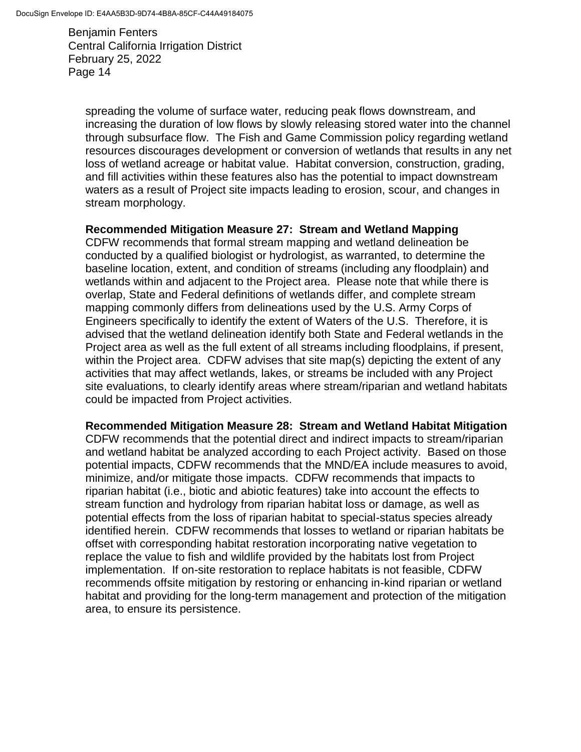spreading the volume of surface water, reducing peak flows downstream, and increasing the duration of low flows by slowly releasing stored water into the channel through subsurface flow. The Fish and Game Commission policy regarding wetland resources discourages development or conversion of wetlands that results in any net loss of wetland acreage or habitat value. Habitat conversion, construction, grading, and fill activities within these features also has the potential to impact downstream waters as a result of Project site impacts leading to erosion, scour, and changes in stream morphology.

#### **Recommended Mitigation Measure 27: Stream and Wetland Mapping**

CDFW recommends that formal stream mapping and wetland delineation be conducted by a qualified biologist or hydrologist, as warranted, to determine the baseline location, extent, and condition of streams (including any floodplain) and wetlands within and adjacent to the Project area. Please note that while there is overlap, State and Federal definitions of wetlands differ, and complete stream mapping commonly differs from delineations used by the U.S. Army Corps of Engineers specifically to identify the extent of Waters of the U.S. Therefore, it is advised that the wetland delineation identify both State and Federal wetlands in the Project area as well as the full extent of all streams including floodplains, if present, within the Project area. CDFW advises that site map(s) depicting the extent of any activities that may affect wetlands, lakes, or streams be included with any Project site evaluations, to clearly identify areas where stream/riparian and wetland habitats could be impacted from Project activities.

#### **Recommended Mitigation Measure 28: Stream and Wetland Habitat Mitigation**

CDFW recommends that the potential direct and indirect impacts to stream/riparian and wetland habitat be analyzed according to each Project activity. Based on those potential impacts, CDFW recommends that the MND/EA include measures to avoid, minimize, and/or mitigate those impacts. CDFW recommends that impacts to riparian habitat (i.e., biotic and abiotic features) take into account the effects to stream function and hydrology from riparian habitat loss or damage, as well as potential effects from the loss of riparian habitat to special-status species already identified herein. CDFW recommends that losses to wetland or riparian habitats be offset with corresponding habitat restoration incorporating native vegetation to replace the value to fish and wildlife provided by the habitats lost from Project implementation. If on-site restoration to replace habitats is not feasible, CDFW recommends offsite mitigation by restoring or enhancing in-kind riparian or wetland habitat and providing for the long-term management and protection of the mitigation area, to ensure its persistence.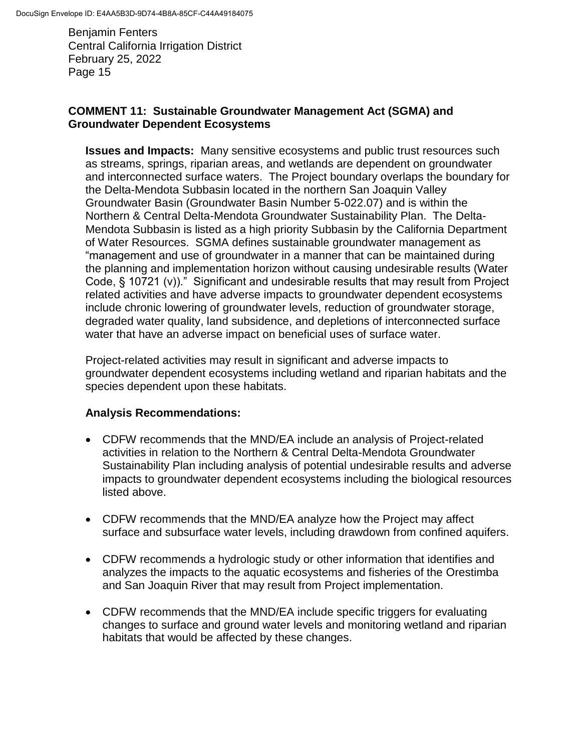### **COMMENT 11: Sustainable Groundwater Management Act (SGMA) and Groundwater Dependent Ecosystems**

**Issues and Impacts:** Many sensitive ecosystems and public trust resources such as streams, springs, riparian areas, and wetlands are dependent on groundwater and interconnected surface waters. The Project boundary overlaps the boundary for the Delta-Mendota Subbasin located in the northern San Joaquin Valley Groundwater Basin (Groundwater Basin Number 5-022.07) and is within the Northern & Central Delta-Mendota Groundwater Sustainability Plan. The Delta-Mendota Subbasin is listed as a high priority Subbasin by the California Department of Water Resources. SGMA defines sustainable groundwater management as "management and use of groundwater in a manner that can be maintained during the planning and implementation horizon without causing undesirable results (Water Code, § 10721 (v))." Significant and undesirable results that may result from Project related activities and have adverse impacts to groundwater dependent ecosystems include chronic lowering of groundwater levels, reduction of groundwater storage, degraded water quality, land subsidence, and depletions of interconnected surface water that have an adverse impact on beneficial uses of surface water.

Project-related activities may result in significant and adverse impacts to groundwater dependent ecosystems including wetland and riparian habitats and the species dependent upon these habitats.

## **Analysis Recommendations:**

- CDFW recommends that the MND/EA include an analysis of Project-related activities in relation to the Northern & Central Delta-Mendota Groundwater Sustainability Plan including analysis of potential undesirable results and adverse impacts to groundwater dependent ecosystems including the biological resources listed above.
- CDFW recommends that the MND/EA analyze how the Project may affect surface and subsurface water levels, including drawdown from confined aquifers.
- CDFW recommends a hydrologic study or other information that identifies and analyzes the impacts to the aquatic ecosystems and fisheries of the Orestimba and San Joaquin River that may result from Project implementation.
- CDFW recommends that the MND/EA include specific triggers for evaluating changes to surface and ground water levels and monitoring wetland and riparian habitats that would be affected by these changes.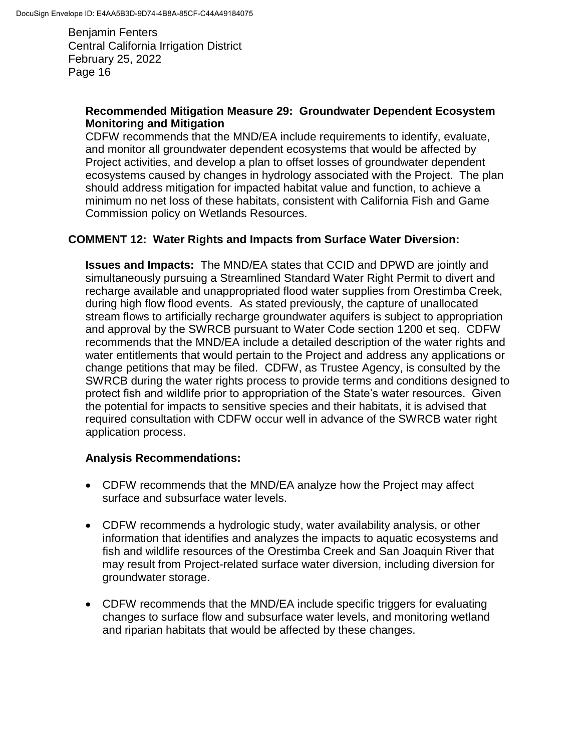#### **Recommended Mitigation Measure 29: Groundwater Dependent Ecosystem Monitoring and Mitigation**

CDFW recommends that the MND/EA include requirements to identify, evaluate, and monitor all groundwater dependent ecosystems that would be affected by Project activities, and develop a plan to offset losses of groundwater dependent ecosystems caused by changes in hydrology associated with the Project. The plan should address mitigation for impacted habitat value and function, to achieve a minimum no net loss of these habitats, consistent with California Fish and Game Commission policy on Wetlands Resources.

### **COMMENT 12: Water Rights and Impacts from Surface Water Diversion:**

**Issues and Impacts:** The MND/EA states that CCID and DPWD are jointly and simultaneously pursuing a Streamlined Standard Water Right Permit to divert and recharge available and unappropriated flood water supplies from Orestimba Creek, during high flow flood events. As stated previously, the capture of unallocated stream flows to artificially recharge groundwater aquifers is subject to appropriation and approval by the SWRCB pursuant to Water Code section 1200 et seq. CDFW recommends that the MND/EA include a detailed description of the water rights and water entitlements that would pertain to the Project and address any applications or change petitions that may be filed. CDFW, as Trustee Agency, is consulted by the SWRCB during the water rights process to provide terms and conditions designed to protect fish and wildlife prior to appropriation of the State's water resources. Given the potential for impacts to sensitive species and their habitats, it is advised that required consultation with CDFW occur well in advance of the SWRCB water right application process.

### **Analysis Recommendations:**

- CDFW recommends that the MND/EA analyze how the Project may affect surface and subsurface water levels.
- CDFW recommends a hydrologic study, water availability analysis, or other information that identifies and analyzes the impacts to aquatic ecosystems and fish and wildlife resources of the Orestimba Creek and San Joaquin River that may result from Project-related surface water diversion, including diversion for groundwater storage.
- CDFW recommends that the MND/EA include specific triggers for evaluating changes to surface flow and subsurface water levels, and monitoring wetland and riparian habitats that would be affected by these changes.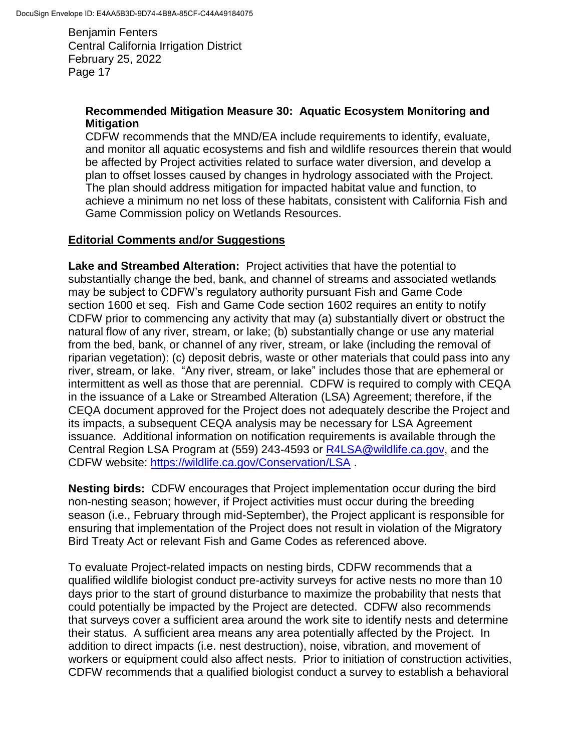### **Recommended Mitigation Measure 30: Aquatic Ecosystem Monitoring and Mitigation**

CDFW recommends that the MND/EA include requirements to identify, evaluate, and monitor all aquatic ecosystems and fish and wildlife resources therein that would be affected by Project activities related to surface water diversion, and develop a plan to offset losses caused by changes in hydrology associated with the Project. The plan should address mitigation for impacted habitat value and function, to achieve a minimum no net loss of these habitats, consistent with California Fish and Game Commission policy on Wetlands Resources.

### **Editorial Comments and/or Suggestions**

**Lake and Streambed Alteration:** Project activities that have the potential to substantially change the bed, bank, and channel of streams and associated wetlands may be subject to CDFW's regulatory authority pursuant Fish and Game Code section 1600 et seq. Fish and Game Code section 1602 requires an entity to notify CDFW prior to commencing any activity that may (a) substantially divert or obstruct the natural flow of any river, stream, or lake; (b) substantially change or use any material from the bed, bank, or channel of any river, stream, or lake (including the removal of riparian vegetation): (c) deposit debris, waste or other materials that could pass into any river, stream, or lake. "Any river, stream, or lake" includes those that are ephemeral or intermittent as well as those that are perennial. CDFW is required to comply with CEQA in the issuance of a Lake or Streambed Alteration (LSA) Agreement; therefore, if the CEQA document approved for the Project does not adequately describe the Project and its impacts, a subsequent CEQA analysis may be necessary for LSA Agreement issuance. Additional information on notification requirements is available through the Central Region LSA Program at (559) 243-4593 or [R4LSA@wildlife.ca.gov,](mailto:R4LSA@wildlife.ca.gov) and the CDFW website:<https://wildlife.ca.gov/Conservation/LSA> .

**Nesting birds:** CDFW encourages that Project implementation occur during the bird non-nesting season; however, if Project activities must occur during the breeding season (i.e., February through mid-September), the Project applicant is responsible for ensuring that implementation of the Project does not result in violation of the Migratory Bird Treaty Act or relevant Fish and Game Codes as referenced above.

To evaluate Project-related impacts on nesting birds, CDFW recommends that a qualified wildlife biologist conduct pre-activity surveys for active nests no more than 10 days prior to the start of ground disturbance to maximize the probability that nests that could potentially be impacted by the Project are detected. CDFW also recommends that surveys cover a sufficient area around the work site to identify nests and determine their status. A sufficient area means any area potentially affected by the Project. In addition to direct impacts (i.e. nest destruction), noise, vibration, and movement of workers or equipment could also affect nests. Prior to initiation of construction activities, CDFW recommends that a qualified biologist conduct a survey to establish a behavioral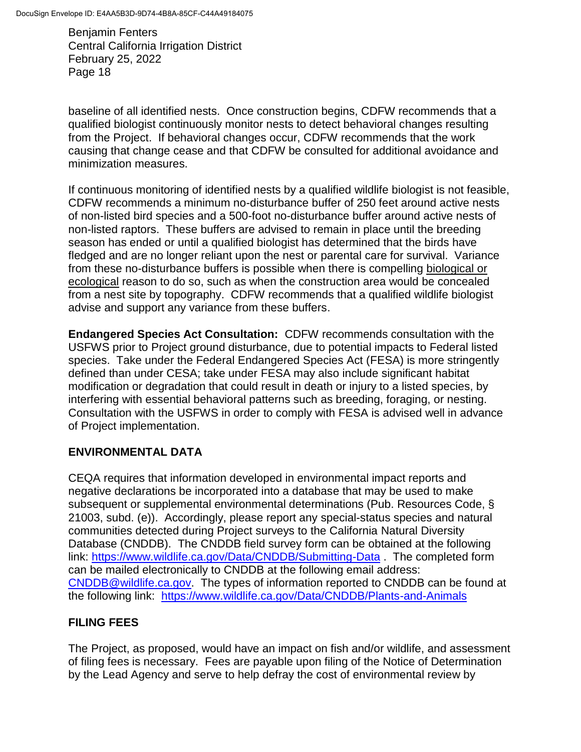baseline of all identified nests. Once construction begins, CDFW recommends that a qualified biologist continuously monitor nests to detect behavioral changes resulting from the Project. If behavioral changes occur, CDFW recommends that the work causing that change cease and that CDFW be consulted for additional avoidance and minimization measures.

If continuous monitoring of identified nests by a qualified wildlife biologist is not feasible, CDFW recommends a minimum no-disturbance buffer of 250 feet around active nests of non-listed bird species and a 500-foot no-disturbance buffer around active nests of non-listed raptors. These buffers are advised to remain in place until the breeding season has ended or until a qualified biologist has determined that the birds have fledged and are no longer reliant upon the nest or parental care for survival. Variance from these no-disturbance buffers is possible when there is compelling biological or ecological reason to do so, such as when the construction area would be concealed from a nest site by topography. CDFW recommends that a qualified wildlife biologist advise and support any variance from these buffers.

**Endangered Species Act Consultation:** CDFW recommends consultation with the USFWS prior to Project ground disturbance, due to potential impacts to Federal listed species. Take under the Federal Endangered Species Act (FESA) is more stringently defined than under CESA; take under FESA may also include significant habitat modification or degradation that could result in death or injury to a listed species, by interfering with essential behavioral patterns such as breeding, foraging, or nesting. Consultation with the USFWS in order to comply with FESA is advised well in advance of Project implementation.

## **ENVIRONMENTAL DATA**

CEQA requires that information developed in environmental impact reports and negative declarations be incorporated into a database that may be used to make subsequent or supplemental environmental determinations (Pub. Resources Code, § 21003, subd. (e)). Accordingly, please report any special-status species and natural communities detected during Project surveys to the California Natural Diversity Database (CNDDB). The CNDDB field survey form can be obtained at the following link:<https://www.wildlife.ca.gov/Data/CNDDB/Submitting-Data> . The completed form can be mailed electronically to CNDDB at the following email address: [CNDDB@wildlife.ca.gov.](mailto:cnddb@dfg.ca.gov) The types of information reported to CNDDB can be found at the following link: <https://www.wildlife.ca.gov/Data/CNDDB/Plants-and-Animals>

# **FILING FEES**

The Project, as proposed, would have an impact on fish and/or wildlife, and assessment of filing fees is necessary. Fees are payable upon filing of the Notice of Determination by the Lead Agency and serve to help defray the cost of environmental review by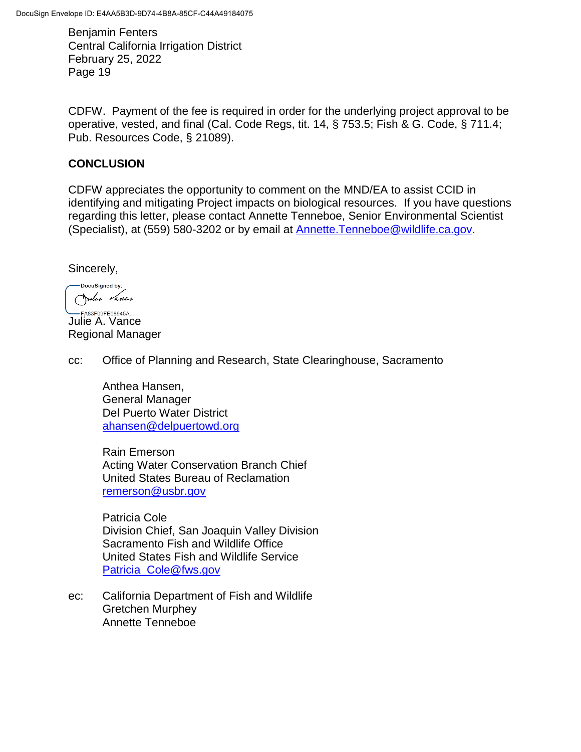CDFW. Payment of the fee is required in order for the underlying project approval to be operative, vested, and final (Cal. Code Regs, tit. 14, § 753.5; Fish & G. Code, § 711.4; Pub. Resources Code, § 21089).

### **CONCLUSION**

CDFW appreciates the opportunity to comment on the MND/EA to assist CCID in identifying and mitigating Project impacts on biological resources. If you have questions regarding this letter, please contact Annette Tenneboe, Senior Environmental Scientist (Specialist), at (559) 580-3202 or by email at [Annette.Tenneboe@wildlife.ca.gov.](mailto:Annette.Tenneboe@wildlife.ca.gov)

Sincerely,

-DocuSigned by: Julie Vance

**Julie A. Vance** Regional Manager

cc: Office of Planning and Research, State Clearinghouse, Sacramento

Anthea Hansen, General Manager Del Puerto Water District [ahansen@delpuertowd.org](mailto:ahansen@delpuertowd.org)

Rain Emerson Acting Water Conservation Branch Chief United States Bureau of Reclamation [remerson@usbr.gov](mailto:remerson@usbr.gov)

Patricia Cole Division Chief, San Joaquin Valley Division Sacramento Fish and Wildlife Office United States Fish and Wildlife Service [Patricia\\_Cole@fws.gov](mailto:Patricia_Cole@fws.gov)

ec: California Department of Fish and Wildlife Gretchen Murphey Annette Tenneboe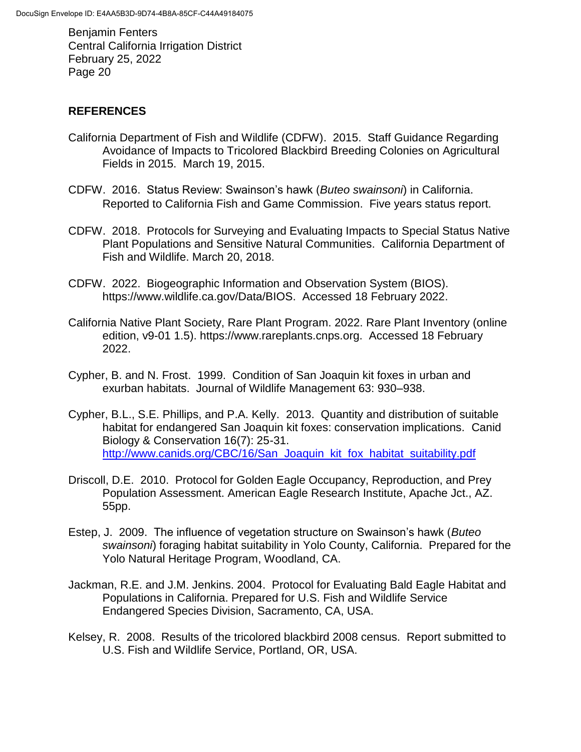### **REFERENCES**

- California Department of Fish and Wildlife (CDFW). 2015. Staff Guidance Regarding Avoidance of Impacts to Tricolored Blackbird Breeding Colonies on Agricultural Fields in 2015. March 19, 2015.
- CDFW. 2016. Status Review: Swainson's hawk (*Buteo swainsoni*) in California. Reported to California Fish and Game Commission. Five years status report.
- CDFW. 2018. Protocols for Surveying and Evaluating Impacts to Special Status Native Plant Populations and Sensitive Natural Communities. California Department of Fish and Wildlife. March 20, 2018.
- CDFW. 2022. Biogeographic Information and Observation System (BIOS). https://www.wildlife.ca.gov/Data/BIOS. Accessed 18 February 2022.
- California Native Plant Society, Rare Plant Program. 2022. Rare Plant Inventory (online edition, v9-01 1.5). https://www.rareplants.cnps.org. Accessed 18 February 2022.
- Cypher, B. and N. Frost. 1999. Condition of San Joaquin kit foxes in urban and exurban habitats. Journal of Wildlife Management 63: 930–938.
- Cypher, B.L., S.E. Phillips, and P.A. Kelly. 2013. Quantity and distribution of suitable habitat for endangered San Joaquin kit foxes: conservation implications. Canid Biology & Conservation 16(7): 25-31. [http://www.canids.org/CBC/16/San\\_Joaquin\\_kit\\_fox\\_habitat\\_suitability.pdf](http://www.canids.org/CBC/16/San_Joaquin_kit_fox_habitat_suitability.pdf)
- Driscoll, D.E. 2010. Protocol for Golden Eagle Occupancy, Reproduction, and Prey Population Assessment. American Eagle Research Institute, Apache Jct., AZ. 55pp.
- Estep, J. 2009. The influence of vegetation structure on Swainson's hawk (*Buteo swainsoni*) foraging habitat suitability in Yolo County, California. Prepared for the Yolo Natural Heritage Program, Woodland, CA.
- Jackman, R.E. and J.M. Jenkins. 2004. Protocol for Evaluating Bald Eagle Habitat and Populations in California. Prepared for U.S. Fish and Wildlife Service Endangered Species Division, Sacramento, CA, USA.
- Kelsey, R. 2008. Results of the tricolored blackbird 2008 census. Report submitted to U.S. Fish and Wildlife Service, Portland, OR, USA.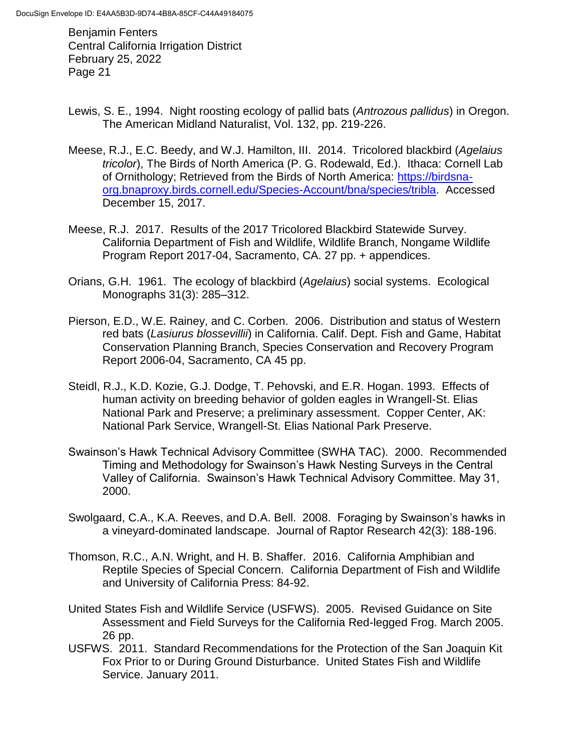- Lewis, S. E., 1994. Night roosting ecology of pallid bats (*Antrozous pallidus*) in Oregon. The American Midland Naturalist, Vol. 132, pp. 219-226.
- Meese, R.J., E.C. Beedy, and W.J. Hamilton, III. 2014. Tricolored blackbird (*Agelaius tricolor*), The Birds of North America (P. G. Rodewald, Ed.). Ithaca: Cornell Lab of Ornithology; Retrieved from the Birds of North America: [https://birdsna](https://birdsna-org.bnaproxy.birds.cornell.edu/Species-Account/bna/species/tribla)[org.bnaproxy.birds.cornell.edu/Species-Account/bna/species/tribla.](https://birdsna-org.bnaproxy.birds.cornell.edu/Species-Account/bna/species/tribla) Accessed December 15, 2017.
- Meese, R.J. 2017. Results of the 2017 Tricolored Blackbird Statewide Survey. California Department of Fish and Wildlife, Wildlife Branch, Nongame Wildlife Program Report 2017-04, Sacramento, CA. 27 pp. + appendices.
- Orians, G.H. 1961. The ecology of blackbird (*Agelaius*) social systems. Ecological Monographs 31(3): 285–312.
- Pierson, E.D., W.E. Rainey, and C. Corben. 2006. Distribution and status of Western red bats (*Lasiurus blossevillii*) in California. Calif. Dept. Fish and Game, Habitat Conservation Planning Branch, Species Conservation and Recovery Program Report 2006-04, Sacramento, CA 45 pp.
- Steidl, R.J., K.D. Kozie, G.J. Dodge, T. Pehovski, and E.R. Hogan. 1993. Effects of human activity on breeding behavior of golden eagles in Wrangell-St. Elias National Park and Preserve; a preliminary assessment. Copper Center, AK: National Park Service, Wrangell-St. Elias National Park Preserve.
- Swainson's Hawk Technical Advisory Committee (SWHA TAC). 2000. Recommended Timing and Methodology for Swainson's Hawk Nesting Surveys in the Central Valley of California. Swainson's Hawk Technical Advisory Committee. May 31, 2000.
- Swolgaard, C.A., K.A. Reeves, and D.A. Bell. 2008. Foraging by Swainson's hawks in a vineyard-dominated landscape. Journal of Raptor Research 42(3): 188-196.
- Thomson, R.C., A.N. Wright, and H. B. Shaffer. 2016. California Amphibian and Reptile Species of Special Concern. California Department of Fish and Wildlife and University of California Press: 84-92.
- United States Fish and Wildlife Service [\(USFWS\)](http://www.fws.gov/southwest/es/oklahoma/documents/te_species/wind%20power/usfws_interim_goea_monitoring_protocol_10march2010.pdf). 2005. Revised Guidance on Site Assessment and Field Surveys for the California Red-legged Frog. March 2005. 26 pp.
- USFWS. 2011. Standard Recommendations for the Protection of the San Joaquin Kit Fox Prior to or During Ground Disturbance. United States Fish and Wildlife Service. January 2011.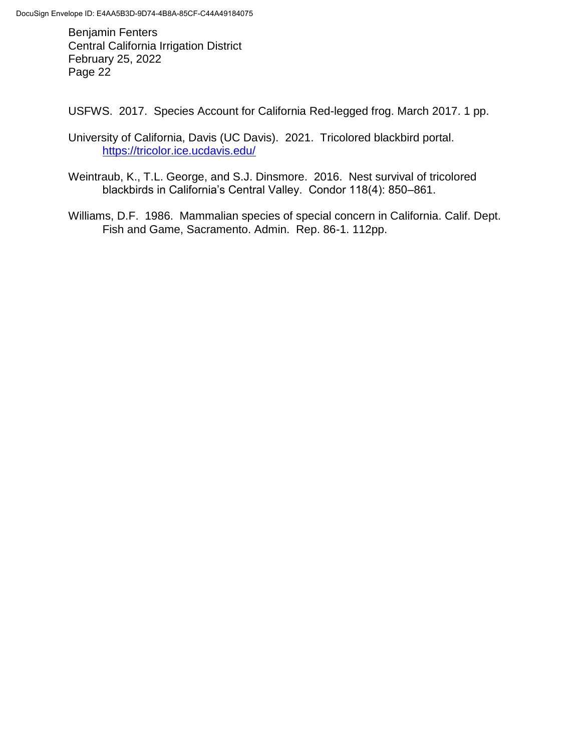USFWS. 2017. Species Account for California Red-legged frog. March 2017. 1 pp.

- University of California, Davis (UC Davis). 2021. Tricolored blackbird portal. <https://tricolor.ice.ucdavis.edu/>
- Weintraub, K., T.L. George, and S.J. Dinsmore. 2016. Nest survival of tricolored blackbirds in California's Central Valley. Condor 118(4): 850–861.
- Williams, D.F. 1986. Mammalian species of special concern in California. Calif. Dept. Fish and Game, Sacramento. Admin. Rep. 86-1. 112pp.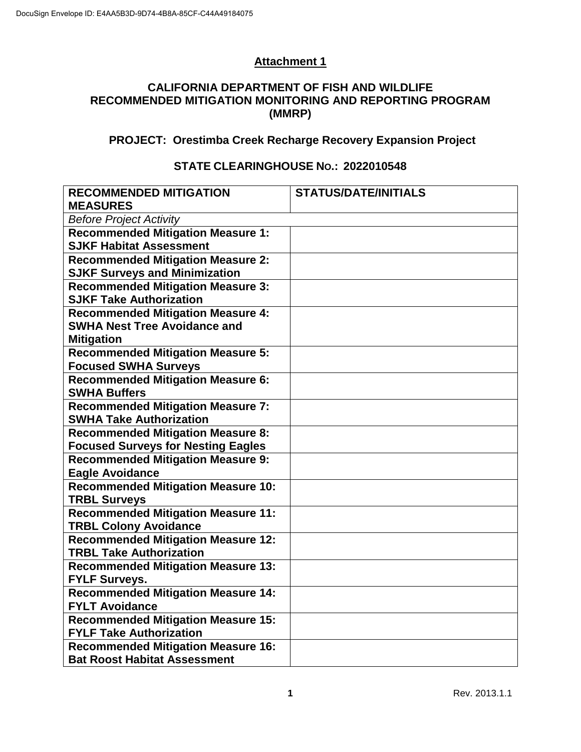## **Attachment 1**

### **CALIFORNIA DEPARTMENT OF FISH AND WILDLIFE RECOMMENDED MITIGATION MONITORING AND REPORTING PROGRAM (MMRP)**

## **PROJECT: Orestimba Creek Recharge Recovery Expansion Project**

### **STATE CLEARINGHOUSE NO.: 2022010548**

| <b>RECOMMENDED MITIGATION</b><br><b>MEASURES</b>                 | <b>STATUS/DATE/INITIALS</b> |
|------------------------------------------------------------------|-----------------------------|
| <b>Before Project Activity</b>                                   |                             |
| <b>Recommended Mitigation Measure 1:</b>                         |                             |
| <b>SJKF Habitat Assessment</b>                                   |                             |
| <b>Recommended Mitigation Measure 2:</b>                         |                             |
| <b>SJKF Surveys and Minimization</b>                             |                             |
| <b>Recommended Mitigation Measure 3:</b>                         |                             |
| <b>SJKF Take Authorization</b>                                   |                             |
| <b>Recommended Mitigation Measure 4:</b>                         |                             |
| <b>SWHA Nest Tree Avoidance and</b>                              |                             |
| <b>Mitigation</b>                                                |                             |
| <b>Recommended Mitigation Measure 5:</b>                         |                             |
| <b>Focused SWHA Surveys</b>                                      |                             |
| <b>Recommended Mitigation Measure 6:</b>                         |                             |
| <b>SWHA Buffers</b>                                              |                             |
| <b>Recommended Mitigation Measure 7:</b>                         |                             |
| <b>SWHA Take Authorization</b>                                   |                             |
| <b>Recommended Mitigation Measure 8:</b>                         |                             |
| <b>Focused Surveys for Nesting Eagles</b>                        |                             |
| <b>Recommended Mitigation Measure 9:</b>                         |                             |
| <b>Eagle Avoidance</b>                                           |                             |
| <b>Recommended Mitigation Measure 10:</b>                        |                             |
| <b>TRBL Surveys</b><br><b>Recommended Mitigation Measure 11:</b> |                             |
| <b>TRBL Colony Avoidance</b>                                     |                             |
| <b>Recommended Mitigation Measure 12:</b>                        |                             |
| <b>TRBL Take Authorization</b>                                   |                             |
| <b>Recommended Mitigation Measure 13:</b>                        |                             |
| <b>FYLF Surveys.</b>                                             |                             |
| <b>Recommended Mitigation Measure 14:</b>                        |                             |
| <b>FYLT Avoidance</b>                                            |                             |
| <b>Recommended Mitigation Measure 15:</b>                        |                             |
| <b>FYLF Take Authorization</b>                                   |                             |
| <b>Recommended Mitigation Measure 16:</b>                        |                             |
| <b>Bat Roost Habitat Assessment</b>                              |                             |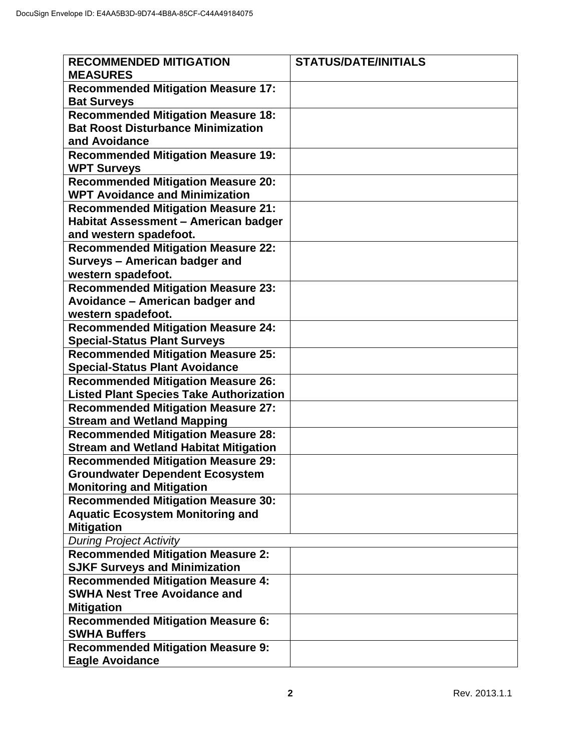| <b>Recommended Mitigation Measure 17:</b><br><b>Bat Surveys</b><br><b>Recommended Mitigation Measure 18:</b><br><b>Bat Roost Disturbance Minimization</b><br>and Avoidance | <b>RECOMMENDED MITIGATION</b><br><b>MEASURES</b> | <b>STATUS/DATE/INITIALS</b> |
|----------------------------------------------------------------------------------------------------------------------------------------------------------------------------|--------------------------------------------------|-----------------------------|
|                                                                                                                                                                            |                                                  |                             |
|                                                                                                                                                                            |                                                  |                             |
|                                                                                                                                                                            |                                                  |                             |
|                                                                                                                                                                            |                                                  |                             |
|                                                                                                                                                                            | <b>Recommended Mitigation Measure 19:</b>        |                             |
| <b>WPT Surveys</b>                                                                                                                                                         |                                                  |                             |
| <b>Recommended Mitigation Measure 20:</b>                                                                                                                                  |                                                  |                             |
| <b>WPT Avoidance and Minimization</b>                                                                                                                                      |                                                  |                             |
| <b>Recommended Mitigation Measure 21:</b>                                                                                                                                  |                                                  |                             |
| Habitat Assessment - American badger                                                                                                                                       |                                                  |                             |
| and western spadefoot.                                                                                                                                                     |                                                  |                             |
| <b>Recommended Mitigation Measure 22:</b>                                                                                                                                  |                                                  |                             |
| Surveys - American badger and                                                                                                                                              |                                                  |                             |
| western spadefoot.                                                                                                                                                         |                                                  |                             |
| <b>Recommended Mitigation Measure 23:</b>                                                                                                                                  |                                                  |                             |
| Avoidance - American badger and                                                                                                                                            |                                                  |                             |
| western spadefoot.                                                                                                                                                         |                                                  |                             |
| <b>Recommended Mitigation Measure 24:</b>                                                                                                                                  |                                                  |                             |
| <b>Special-Status Plant Surveys</b>                                                                                                                                        |                                                  |                             |
| <b>Recommended Mitigation Measure 25:</b>                                                                                                                                  |                                                  |                             |
| <b>Special-Status Plant Avoidance</b>                                                                                                                                      |                                                  |                             |
| <b>Recommended Mitigation Measure 26:</b>                                                                                                                                  |                                                  |                             |
| <b>Listed Plant Species Take Authorization</b>                                                                                                                             |                                                  |                             |
| <b>Recommended Mitigation Measure 27:</b>                                                                                                                                  |                                                  |                             |
| <b>Stream and Wetland Mapping</b>                                                                                                                                          |                                                  |                             |
| <b>Recommended Mitigation Measure 28:</b>                                                                                                                                  |                                                  |                             |
| <b>Stream and Wetland Habitat Mitigation</b>                                                                                                                               |                                                  |                             |
| <b>Recommended Mitigation Measure 29:</b>                                                                                                                                  |                                                  |                             |
| <b>Groundwater Dependent Ecosystem</b>                                                                                                                                     |                                                  |                             |
| <b>Monitoring and Mitigation</b>                                                                                                                                           |                                                  |                             |
| <b>Recommended Mitigation Measure 30:</b>                                                                                                                                  |                                                  |                             |
| <b>Aquatic Ecosystem Monitoring and</b>                                                                                                                                    |                                                  |                             |
| <b>Mitigation</b>                                                                                                                                                          |                                                  |                             |
| <b>During Project Activity</b>                                                                                                                                             |                                                  |                             |
| <b>Recommended Mitigation Measure 2:</b>                                                                                                                                   |                                                  |                             |
| <b>SJKF Surveys and Minimization</b><br><b>Recommended Mitigation Measure 4:</b>                                                                                           |                                                  |                             |
| <b>SWHA Nest Tree Avoidance and</b>                                                                                                                                        |                                                  |                             |
| <b>Mitigation</b>                                                                                                                                                          |                                                  |                             |
| <b>Recommended Mitigation Measure 6:</b>                                                                                                                                   |                                                  |                             |
| <b>SWHA Buffers</b>                                                                                                                                                        |                                                  |                             |
| <b>Recommended Mitigation Measure 9:</b>                                                                                                                                   |                                                  |                             |
| <b>Eagle Avoidance</b>                                                                                                                                                     |                                                  |                             |